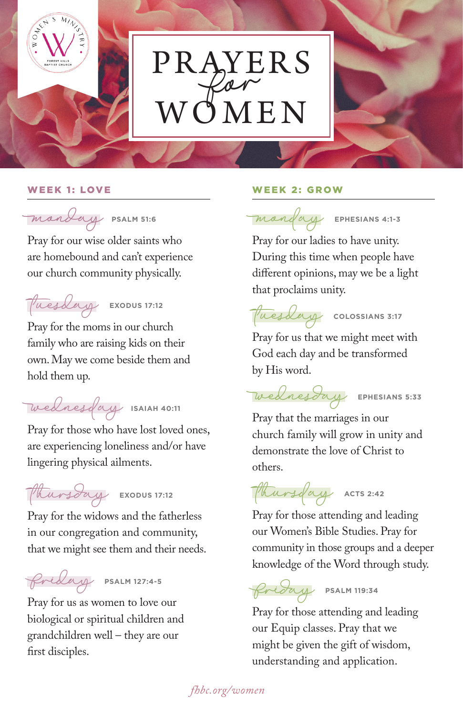

# PRAYERS  $W\tilde{\mathcal{O}}$ MEN





Pray for our wise older saints who are homebound and can't experience our church community physically.

## tuesday**EXODUS 17:12**

Pray for the moms in our church family who are raising kids on their own. May we come beside them and hold them up.

wednesday**ISAIAH 40:11**

Pray for those who have lost loved ones, are experiencing loneliness and/or have lingering physical ailments.

thursday**EXODUS 17:12**

Pray for the widows and the fatherless in our congregation and community, that we might see them and their needs.

friday**PSALM 127:4-5**

Pray for us as women to love our biological or spiritual children and grandchildren well – they are our first disciples.

### W E E K 1 : LOV E W E E K 2 : G R OW



Pray for our ladies to have unity. During this time when people have different opinions, may we be a light that proclaims unity.

tuesday**COLOSSIANS 3:17**

Pray for us that we might meet with God each day and be transformed by His word.

wednesday**EPHESIANS 5:33** Pray that the marriages in our

church family will grow in unity and demonstrate the love of Christ to others.

thursday**ACTS 2:42**

Pray for those attending and leading our Women's Bible Studies. Pray for community in those groups and a deeper knowledge of the Word through study.

### friday**PSALM 119:34**

Pray for those attending and leading our Equip classes. Pray that we might be given the gift of wisdom, understanding and application.

 *fhbc.org/women*